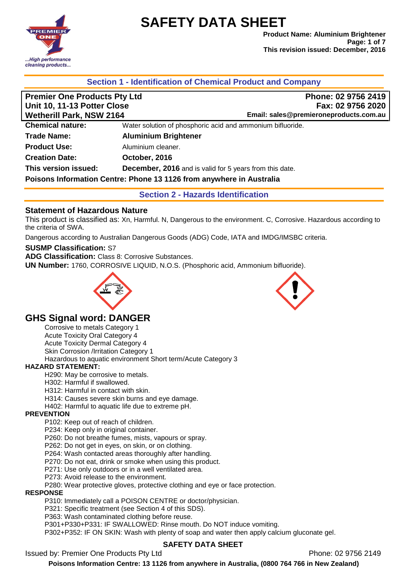

**Product Name: Aluminium Brightener Page: 1 of 7 This revision issued: December, 2016**

### **Section 1 - Identification of Chemical Product and Company**

| <b>Premier One Products Pty Ltd</b>       | Phone: 02 9756 2419                                                  |  |
|-------------------------------------------|----------------------------------------------------------------------|--|
| Unit 10, 11-13 Potter Close               | Fax: 02 9756 2020                                                    |  |
| <b>Wetherill Park, NSW 2164</b>           | Email: sales@premieroneproducts.com.au                               |  |
| <b>Chemical nature:</b>                   | Water solution of phosphoric acid and ammonium bifluoride.           |  |
| <b>Trade Name:</b>                        | <b>Aluminium Brightener</b>                                          |  |
| <b>Product Use:</b>                       | Aluminium cleaner.                                                   |  |
| <b>Creation Date:</b>                     | October, 2016                                                        |  |
| This version issued:                      | <b>December, 2016</b> and is valid for 5 years from this date.       |  |
|                                           | Poisons Information Centre: Phone 13 1126 from anywhere in Australia |  |
| <b>Section 2 - Hazards Identification</b> |                                                                      |  |

### **Statement of Hazardous Nature**

This product is classified as: Xn, Harmful. N, Dangerous to the environment. C, Corrosive. Hazardous according to the criteria of SWA.

Dangerous according to Australian Dangerous Goods (ADG) Code, IATA and IMDG/IMSBC criteria.

### **SUSMP Classification:** S7

**ADG Classification:** Class 8: Corrosive Substances.

**UN Number:** 1760, CORROSIVE LIQUID, N.O.S. (Phosphoric acid, Ammonium bifluoride).



### **GHS Signal word: DANGER**

Corrosive to metals Category 1 Acute Toxicity Oral Category 4 Acute Toxicity Dermal Category 4 Skin Corrosion /Irritation Category 1 Hazardous to aquatic environment Short term/Acute Category 3

### **HAZARD STATEMENT:**

H290: May be corrosive to metals.

- H302: Harmful if swallowed.
- H312: Harmful in contact with skin.
- H314: Causes severe skin burns and eye damage.
- H402: Harmful to aquatic life due to extreme pH.

#### **PREVENTION**

P102: Keep out of reach of children.

P234: Keep only in original container.

P260: Do not breathe fumes, mists, vapours or spray.

P262: Do not get in eyes, on skin, or on clothing.

P264: Wash contacted areas thoroughly after handling.

P270: Do not eat, drink or smoke when using this product.

P271: Use only outdoors or in a well ventilated area.

P273: Avoid release to the environment.

P280: Wear protective gloves, protective clothing and eye or face protection.

#### **RESPONSE**

P310: Immediately call a POISON CENTRE or doctor/physician.

P321: Specific treatment (see Section 4 of this SDS).

P363: Wash contaminated clothing before reuse.

P301+P330+P331: IF SWALLOWED: Rinse mouth. Do NOT induce vomiting.

P302+P352: IF ON SKIN: Wash with plenty of soap and water then apply calcium gluconate gel.

### **SAFETY DATA SHEET**

Issued by: Premier One Products Pty Ltd **Phone: 02 9756 2149** Phone: 02 9756 2149

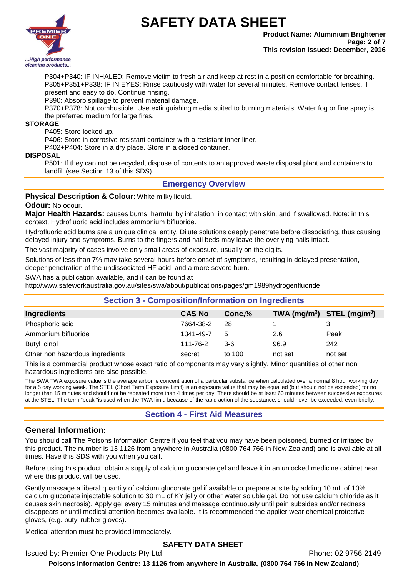

**Product Name: Aluminium Brightener Page: 2 of 7 This revision issued: December, 2016**

P304+P340: IF INHALED: Remove victim to fresh air and keep at rest in a position comfortable for breathing. P305+P351+P338: IF IN EYES: Rinse cautiously with water for several minutes. Remove contact lenses, if present and easy to do. Continue rinsing.

P390: Absorb spillage to prevent material damage.

P370+P378: Not combustible. Use extinguishing media suited to burning materials. Water fog or fine spray is the preferred medium for large fires.

#### **STORAGE**

P405: Store locked up.

P406: Store in corrosive resistant container with a resistant inner liner.

P402+P404: Store in a dry place. Store in a closed container.

#### **DISPOSAL**

P501: If they can not be recycled, dispose of contents to an approved waste disposal plant and containers to landfill (see Section 13 of this SDS).

### **Emergency Overview**

### **Physical Description & Colour**: White milky liquid.

#### **Odour:** No odour.

**Major Health Hazards:** causes burns, harmful by inhalation, in contact with skin, and if swallowed. Note: in this context, Hydrofluoric acid includes ammonium bifluoride.

Hydrofluoric acid burns are a unique clinical entity. Dilute solutions deeply penetrate before dissociating, thus causing delayed injury and symptoms. Burns to the fingers and nail beds may leave the overlying nails intact.

The vast majority of cases involve only small areas of exposure, usually on the digits.

Solutions of less than 7% may take several hours before onset of symptoms, resulting in delayed presentation, deeper penetration of the undissociated HF acid, and a more severe burn.

SWA has a publication available, and it can be found at

http://www.safeworkaustralia.gov.au/sites/swa/about/publications/pages/gm1989hydrogenfluoride

| <b>Section 3 - Composition/Information on Ingredients</b> |               |        |                                |         |
|-----------------------------------------------------------|---------------|--------|--------------------------------|---------|
| Ingredients                                               | <b>CAS No</b> | Conc,% | TWA $(mg/m^3)$ STEL $(mg/m^3)$ |         |
| Phosphoric acid                                           | 7664-38-2     | 28     |                                |         |
| Ammonium bifluoride                                       | 1341-49-7     | 5      | 2.6                            | Peak    |
| Butyl icinol                                              | 111-76-2      | $3-6$  | 96.9                           | 242     |
| Other non hazardous ingredients                           | secret        | to 100 | not set                        | not set |

This is a commercial product whose exact ratio of components may vary slightly. Minor quantities of other non hazardous ingredients are also possible.

The SWA TWA exposure value is the average airborne concentration of a particular substance when calculated over a normal 8 hour working day for a 5 day working week. The STEL (Short Term Exposure Limit) is an exposure value that may be equalled (but should not be exceeded) for no longer than 15 minutes and should not be repeated more than 4 times per day. There should be at least 60 minutes between successive exposures at the STEL. The term "peak "is used when the TWA limit, because of the rapid action of the substance, should never be exceeded, even briefly.

### **Section 4 - First Aid Measures**

### **General Information:**

You should call The Poisons Information Centre if you feel that you may have been poisoned, burned or irritated by this product. The number is 13 1126 from anywhere in Australia (0800 764 766 in New Zealand) and is available at all times. Have this SDS with you when you call.

Before using this product, obtain a supply of calcium gluconate gel and leave it in an unlocked medicine cabinet near where this product will be used.

Gently massage a liberal quantity of calcium gluconate gel if available or prepare at site by adding 10 mL of 10% calcium gluconate injectable solution to 30 mL of KY jelly or other water soluble gel. Do not use calcium chloride as it causes skin necrosis). Apply gel every 15 minutes and massage continuously until pain subsides and/or redness disappears or until medical attention becomes available. It is recommended the applier wear chemical protective gloves, (e.g. butyl rubber gloves).

Medical attention must be provided immediately.

### **SAFETY DATA SHEET**

Issued by: Premier One Products Pty Ltd **Phone: 02 9756 2149** Phone: 02 9756 2149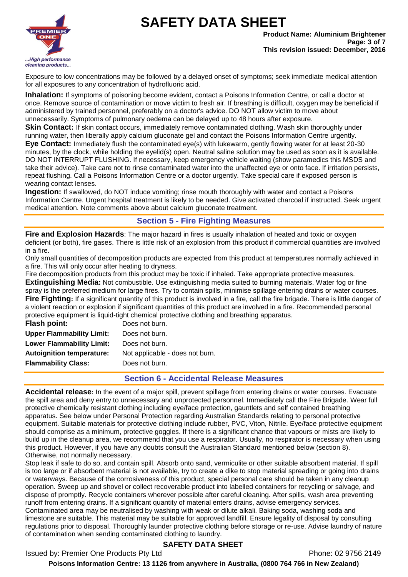

**Product Name: Aluminium Brightener Page: 3 of 7 This revision issued: December, 2016**

Exposure to low concentrations may be followed by a delayed onset of symptoms; seek immediate medical attention for all exposures to any concentration of hydrofluoric acid.

**Inhalation:** If symptoms of poisoning become evident, contact a Poisons Information Centre, or call a doctor at once. Remove source of contamination or move victim to fresh air. If breathing is difficult, oxygen may be beneficial if administered by trained personnel, preferably on a doctor's advice. DO NOT allow victim to move about unnecessarily. Symptoms of pulmonary oedema can be delayed up to 48 hours after exposure.

**Skin Contact:** If skin contact occurs, immediately remove contaminated clothing. Wash skin thoroughly under running water, then liberally apply calcium gluconate gel and contact the Poisons Information Centre urgently.

**Eye Contact:** Immediately flush the contaminated eye(s) with lukewarm, gently flowing water for at least 20-30 minutes, by the clock, while holding the eyelid(s) open. Neutral saline solution may be used as soon as it is available. DO NOT INTERRUPT FLUSHING. If necessary, keep emergency vehicle waiting (show paramedics this MSDS and take their advice). Take care not to rinse contaminated water into the unaffected eye or onto face. If irritation persists, repeat flushing. Call a Poisons Information Centre or a doctor urgently. Take special care if exposed person is wearing contact lenses.

**Ingestion:** If swallowed, do NOT induce vomiting; rinse mouth thoroughly with water and contact a Poisons Information Centre. Urgent hospital treatment is likely to be needed. Give activated charcoal if instructed. Seek urgent medical attention. Note comments above about calcium gluconate treatment.

## **Section 5 - Fire Fighting Measures**

**Fire and Explosion Hazards**: The major hazard in fires is usually inhalation of heated and toxic or oxygen deficient (or both), fire gases. There is little risk of an explosion from this product if commercial quantities are involved in a fire.

Only small quantities of decomposition products are expected from this product at temperatures normally achieved in a fire. This will only occur after heating to dryness.

Fire decomposition products from this product may be toxic if inhaled. Take appropriate protective measures.

**Extinguishing Media:** Not combustible. Use extinguishing media suited to burning materials. Water fog or fine spray is the preferred medium for large fires. Try to contain spills, minimise spillage entering drains or water courses. **Fire Fighting:** If a significant quantity of this product is involved in a fire, call the fire brigade. There is little danger of a violent reaction or explosion if significant quantities of this product are involved in a fire. Recommended personal protective equipment is liquid-tight chemical protective clothing and breathing apparatus.

| <b>Flash point:</b>              | Does not burn.                  |
|----------------------------------|---------------------------------|
| <b>Upper Flammability Limit:</b> | Does not burn.                  |
| <b>Lower Flammability Limit:</b> | Does not burn.                  |
| <b>Autoignition temperature:</b> | Not applicable - does not burn. |
| <b>Flammability Class:</b>       | Does not burn.                  |
|                                  |                                 |

### **Section 6 - Accidental Release Measures**

**Accidental release:** In the event of a major spill, prevent spillage from entering drains or water courses. Evacuate the spill area and deny entry to unnecessary and unprotected personnel. Immediately call the Fire Brigade. Wear full protective chemically resistant clothing including eye/face protection, gauntlets and self contained breathing apparatus. See below under Personal Protection regarding Australian Standards relating to personal protective equipment. Suitable materials for protective clothing include rubber, PVC, Viton, Nitrile. Eye/face protective equipment should comprise as a minimum, protective goggles. If there is a significant chance that vapours or mists are likely to build up in the cleanup area, we recommend that you use a respirator. Usually, no respirator is necessary when using this product. However, if you have any doubts consult the Australian Standard mentioned below (section 8). Otherwise, not normally necessary.

Stop leak if safe to do so, and contain spill. Absorb onto sand, vermiculite or other suitable absorbent material. If spill is too large or if absorbent material is not available, try to create a dike to stop material spreading or going into drains or waterways. Because of the corrosiveness of this product, special personal care should be taken in any cleanup operation. Sweep up and shovel or collect recoverable product into labelled containers for recycling or salvage, and dispose of promptly. Recycle containers wherever possible after careful cleaning. After spills, wash area preventing runoff from entering drains. If a significant quantity of material enters drains, advise emergency services. Contaminated area may be neutralised by washing with weak or dilute alkali. Baking soda, washing soda and limestone are suitable. This material may be suitable for approved landfill. Ensure legality of disposal by consulting regulations prior to disposal. Thoroughly launder protective clothing before storage or re-use. Advise laundry of nature of contamination when sending contaminated clothing to laundry.

### **SAFETY DATA SHEET**

Issued by: Premier One Products Pty Ltd **Phone: 02 9756 2149** Phone: 02 9756 2149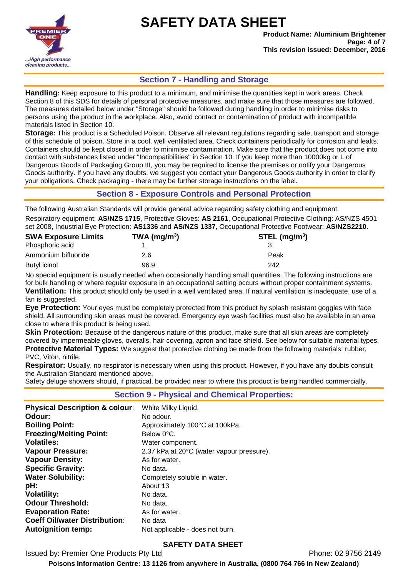

**Product Name: Aluminium Brightener Page: 4 of 7 This revision issued: December, 2016**

### **Section 7 - Handling and Storage**

**Handling:** Keep exposure to this product to a minimum, and minimise the quantities kept in work areas. Check Section 8 of this SDS for details of personal protective measures, and make sure that those measures are followed. The measures detailed below under "Storage" should be followed during handling in order to minimise risks to persons using the product in the workplace. Also, avoid contact or contamination of product with incompatible materials listed in Section 10.

**Storage:** This product is a Scheduled Poison. Observe all relevant regulations regarding sale, transport and storage of this schedule of poison. Store in a cool, well ventilated area. Check containers periodically for corrosion and leaks. Containers should be kept closed in order to minimise contamination. Make sure that the product does not come into contact with substances listed under "Incompatibilities" in Section 10. If you keep more than 10000kg or L of Dangerous Goods of Packaging Group III, you may be required to license the premises or notify your Dangerous Goods authority. If you have any doubts, we suggest you contact your Dangerous Goods authority in order to clarify your obligations. Check packaging - there may be further storage instructions on the label.

### **Section 8 - Exposure Controls and Personal Protection**

The following Australian Standards will provide general advice regarding safety clothing and equipment:

Respiratory equipment: **AS/NZS 1715**, Protective Gloves: **AS 2161**, Occupational Protective Clothing: AS/NZS 4501 set 2008, Industrial Eye Protection: **AS1336** and **AS/NZS 1337**, Occupational Protective Footwear: **AS/NZS2210**.

| TWA ( $mg/m3$ ) | $STEL$ (mg/m <sup>3</sup> ) |
|-----------------|-----------------------------|
|                 |                             |
| 2.6             | Peak                        |
| 96.9            | 242                         |
|                 |                             |

No special equipment is usually needed when occasionally handling small quantities. The following instructions are for bulk handling or where regular exposure in an occupational setting occurs without proper containment systems.

**Ventilation:** This product should only be used in a well ventilated area. If natural ventilation is inadequate, use of a fan is suggested.

**Eye Protection:** Your eyes must be completely protected from this product by splash resistant goggles with face shield. All surrounding skin areas must be covered. Emergency eye wash facilities must also be available in an area close to where this product is being used.

**Skin Protection:** Because of the dangerous nature of this product, make sure that all skin areas are completely covered by impermeable gloves, overalls, hair covering, apron and face shield. See below for suitable material types. **Protective Material Types:** We suggest that protective clothing be made from the following materials: rubber, PVC, Viton, nitrile.

**Respirator:** Usually, no respirator is necessary when using this product. However, if you have any doubts consult the Australian Standard mentioned above.

Safety deluge showers should, if practical, be provided near to where this product is being handled commercially.

### **Section 9 - Physical and Chemical Properties:**

| <b>Physical Description &amp; colour:</b> | White Milky Liquid.                       |
|-------------------------------------------|-------------------------------------------|
| Odour:                                    | No odour.                                 |
| <b>Boiling Point:</b>                     | Approximately 100°C at 100kPa.            |
| <b>Freezing/Melting Point:</b>            | Below 0°C.                                |
| <b>Volatiles:</b>                         | Water component.                          |
| <b>Vapour Pressure:</b>                   | 2.37 kPa at 20°C (water vapour pressure). |
| <b>Vapour Density:</b>                    | As for water.                             |
| <b>Specific Gravity:</b>                  | No data.                                  |
| <b>Water Solubility:</b>                  | Completely soluble in water.              |
| pH:                                       | About 13                                  |
| <b>Volatility:</b>                        | No data.                                  |
| <b>Odour Threshold:</b>                   | No data.                                  |
| <b>Evaporation Rate:</b>                  | As for water.                             |
| <b>Coeff Oil/water Distribution:</b>      | No data                                   |
| <b>Autoignition temp:</b>                 | Not applicable - does not burn.           |

### **SAFETY DATA SHEET**

Issued by: Premier One Products Pty Ltd **Phone: 02 9756 2149** Phone: 02 9756 2149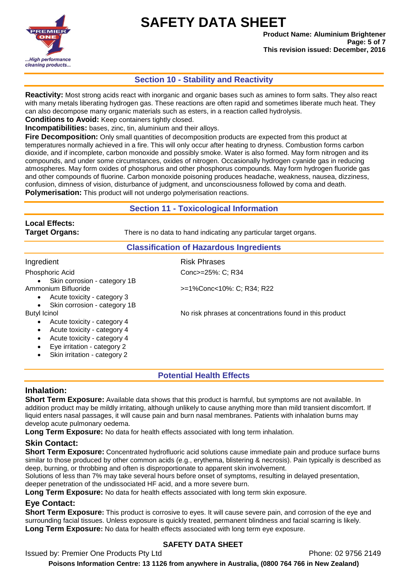

**Product Name: Aluminium Brightener Page: 5 of 7 This revision issued: December, 2016**

### **Section 10 - Stability and Reactivity**

**Reactivity:** Most strong acids react with inorganic and organic bases such as amines to form salts. They also react with many metals liberating hydrogen gas. These reactions are often rapid and sometimes liberate much heat. They can also decompose many organic materials such as esters, in a reaction called hydrolysis.

**Conditions to Avoid:** Keep containers tightly closed.

**Incompatibilities:** bases, zinc, tin, aluminium and their alloys.

**Fire Decomposition:** Only small quantities of decomposition products are expected from this product at temperatures normally achieved in a fire. This will only occur after heating to dryness. Combustion forms carbon dioxide, and if incomplete, carbon monoxide and possibly smoke. Water is also formed. May form nitrogen and its compounds, and under some circumstances, oxides of nitrogen. Occasionally hydrogen cyanide gas in reducing atmospheres. May form oxides of phosphorus and other phosphorus compounds. May form hydrogen fluoride gas and other compounds of fluorine. Carbon monoxide poisoning produces headache, weakness, nausea, dizziness, confusion, dimness of vision, disturbance of judgment, and unconsciousness followed by coma and death. **Polymerisation:** This product will not undergo polymerisation reactions.

### **Section 11 - Toxicological Information**

# **Local Effects:**

**Target Organs:** There is no data to hand indicating any particular target organs.

### **Classification of Hazardous Ingredients**

| Ingredient                                | <b>Risk Phrases</b>                                     |
|-------------------------------------------|---------------------------------------------------------|
| Phosphoric Acid                           | Conc>=25%: C; R34                                       |
| Skin corrosion - category 1B<br>$\bullet$ |                                                         |
| Ammonium Bifluoride                       | >=1%Conc<10%: C; R34; R22                               |
| Acute toxicity - category 3<br>$\bullet$  |                                                         |
| Skin corrosion - category 1B<br>$\bullet$ |                                                         |
| Butyl Icinol                              | No risk phrases at concentrations found in this product |
| Acute toxicity - category 4               |                                                         |
| Acute toxicity - category 4               |                                                         |
| Acute toxicity - category 4<br>$\bullet$  |                                                         |
| Eye irritation - category 2<br>$\bullet$  |                                                         |
| Skin irritation - category 2<br>$\bullet$ |                                                         |

**Potential Health Effects**

### **Inhalation:**

**Short Term Exposure:** Available data shows that this product is harmful, but symptoms are not available. In addition product may be mildly irritating, although unlikely to cause anything more than mild transient discomfort. If liquid enters nasal passages, it will cause pain and burn nasal membranes. Patients with inhalation burns may develop acute pulmonary oedema.

**Long Term Exposure:** No data for health effects associated with long term inhalation.

# **Skin Contact:**

**Short Term Exposure:** Concentrated hydrofluoric acid solutions cause immediate pain and produce surface burns similar to those produced by other common acids (e.g., erythema, blistering & necrosis). Pain typically is described as deep, burning, or throbbing and often is disproportionate to apparent skin involvement.

Solutions of less than 7% may take several hours before onset of symptoms, resulting in delayed presentation, deeper penetration of the undissociated HF acid, and a more severe burn.

**Long Term Exposure:** No data for health effects associated with long term skin exposure.

# **Eye Contact:**

**Short Term Exposure:** This product is corrosive to eyes. It will cause severe pain, and corrosion of the eye and surrounding facial tissues. Unless exposure is quickly treated, permanent blindness and facial scarring is likely. **Long Term Exposure:** No data for health effects associated with long term eye exposure.

# **SAFETY DATA SHEET**

Issued by: Premier One Products Pty Ltd **Phone: 02 9756 2149** Phone: 02 9756 2149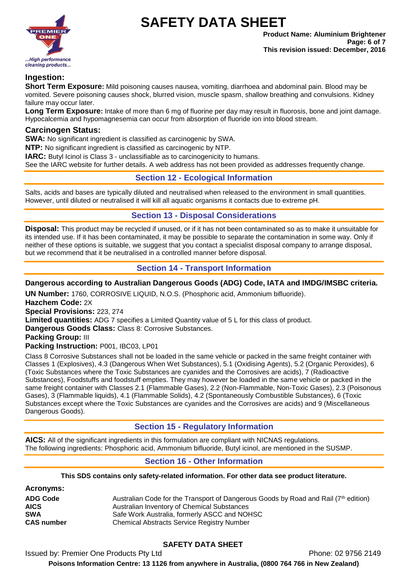

### **Ingestion:**

**Short Term Exposure:** Mild poisoning causes nausea, vomiting, diarrhoea and abdominal pain. Blood may be vomited. Severe poisoning causes shock, blurred vision, muscle spasm, shallow breathing and convulsions. Kidney failure may occur later.

**Long Term Exposure:** Intake of more than 6 mg of fluorine per day may result in fluorosis, bone and joint damage. Hypocalcemia and hypomagnesemia can occur from absorption of fluoride ion into blood stream.

### **Carcinogen Status:**

**SWA:** No significant ingredient is classified as carcinogenic by SWA.

**NTP:** No significant ingredient is classified as carcinogenic by NTP.

**IARC:** Butyl Icinol is Class 3 - unclassifiable as to carcinogenicity to humans.

See the IARC website for further details. A web address has not been provided as addresses frequently change.

### **Section 12 - Ecological Information**

Salts, acids and bases are typically diluted and neutralised when released to the environment in small quantities. However, until diluted or neutralised it will kill all aquatic organisms it contacts due to extreme pH.

### **Section 13 - Disposal Considerations**

**Disposal:** This product may be recycled if unused, or if it has not been contaminated so as to make it unsuitable for its intended use. If it has been contaminated, it may be possible to separate the contamination in some way. Only if neither of these options is suitable, we suggest that you contact a specialist disposal company to arrange disposal, but we recommend that it be neutralised in a controlled manner before disposal.

### **Section 14 - Transport Information**

### **Dangerous according to Australian Dangerous Goods (ADG) Code, IATA and IMDG/IMSBC criteria.**

**UN Number:** 1760, CORROSIVE LIQUID, N.O.S. (Phosphoric acid, Ammonium bifluoride). **Hazchem Code:** 2X **Special Provisions:** 223, 274 **Limited quantities:** ADG 7 specifies a Limited Quantity value of 5 L for this class of product. **Dangerous Goods Class:** Class 8: Corrosive Substances. **Packing Group:** III **Packing Instruction:** P001, IBC03, LP01

Class 8 Corrosive Substances shall not be loaded in the same vehicle or packed in the same freight container with Classes 1 (Explosives), 4.3 (Dangerous When Wet Substances), 5.1 (Oxidising Agents), 5.2 (Organic Peroxides), 6 (Toxic Substances where the Toxic Substances are cyanides and the Corrosives are acids), 7 (Radioactive Substances), Foodstuffs and foodstuff empties. They may however be loaded in the same vehicle or packed in the same freight container with Classes 2.1 (Flammable Gases), 2.2 (Non-Flammable, Non-Toxic Gases), 2.3 (Poisonous Gases), 3 (Flammable liquids), 4.1 (Flammable Solids), 4.2 (Spontaneously Combustible Substances), 6 (Toxic Substances except where the Toxic Substances are cyanides and the Corrosives are acids) and 9 (Miscellaneous Dangerous Goods).

# **Section 15 - Regulatory Information**

**AICS:** All of the significant ingredients in this formulation are compliant with NICNAS regulations. The following ingredients: Phosphoric acid, Ammonium bifluoride, Butyl icinol, are mentioned in the SUSMP.

### **Section 16 - Other Information**

### **This SDS contains only safety-related information. For other data see product literature.**

| <b>Acronyms:</b>  |                                                                                     |
|-------------------|-------------------------------------------------------------------------------------|
| <b>ADG Code</b>   | Australian Code for the Transport of Dangerous Goods by Road and Rail (7th edition) |
| <b>AICS</b>       | Australian Inventory of Chemical Substances                                         |
| <b>SWA</b>        | Safe Work Australia, formerly ASCC and NOHSC                                        |
| <b>CAS number</b> | <b>Chemical Abstracts Service Registry Number</b>                                   |

# **SAFETY DATA SHEET**

Issued by: Premier One Products Pty Ltd **Phone: 02 9756 2149** Phone: 02 9756 2149 **Poisons Information Centre: 13 1126 from anywhere in Australia, (0800 764 766 in New Zealand)**